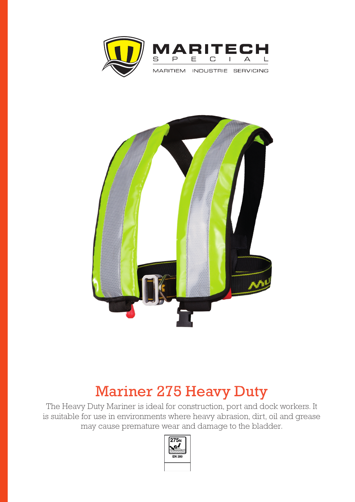



## Mariner 275 Heavy Duty

 The Heavy Duty Mariner is ideal for construction, port and dock workers. It is suitable for use in environments where heavy abrasion, dirt, oil and grease may cause premature wear and damage to the bladder.